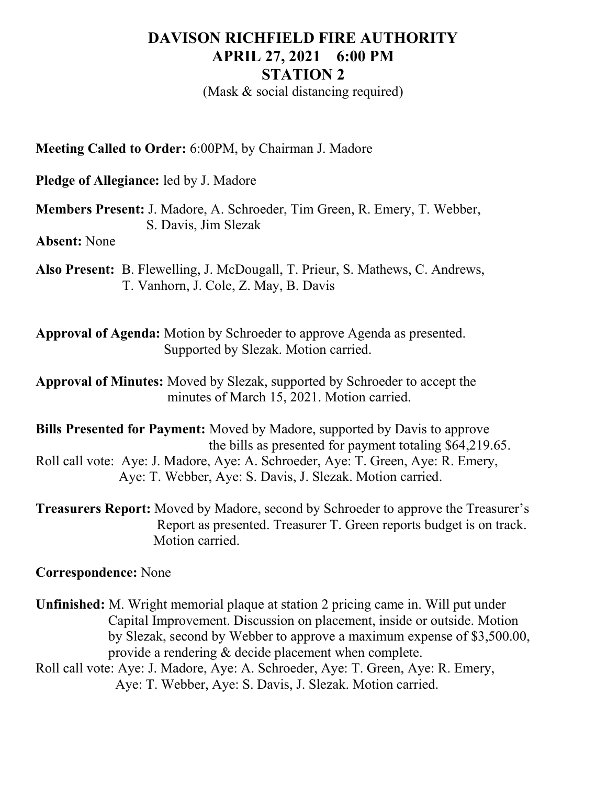## DAVISON RICHFIELD FIRE AUTHORITY APRIL 27, 2021 6:00 PM STATION 2

(Mask & social distancing required)

Meeting Called to Order: 6:00PM, by Chairman J. Madore

Pledge of Allegiance: led by J. Madore

Members Present: J. Madore, A. Schroeder, Tim Green, R. Emery, T. Webber, S. Davis, Jim Slezak

Absent: None

Also Present: B. Flewelling, J. McDougall, T. Prieur, S. Mathews, C. Andrews, T. Vanhorn, J. Cole, Z. May, B. Davis

Approval of Agenda: Motion by Schroeder to approve Agenda as presented. Supported by Slezak. Motion carried.

Approval of Minutes: Moved by Slezak, supported by Schroeder to accept the minutes of March 15, 2021. Motion carried.

Bills Presented for Payment: Moved by Madore, supported by Davis to approve the bills as presented for payment totaling \$64,219.65. Roll call vote: Aye: J. Madore, Aye: A. Schroeder, Aye: T. Green, Aye: R. Emery, Aye: T. Webber, Aye: S. Davis, J. Slezak. Motion carried.

Treasurers Report: Moved by Madore, second by Schroeder to approve the Treasurer's Report as presented. Treasurer T. Green reports budget is on track. Motion carried.

## Correspondence: None

Unfinished: M. Wright memorial plaque at station 2 pricing came in. Will put under Capital Improvement. Discussion on placement, inside or outside. Motion by Slezak, second by Webber to approve a maximum expense of \$3,500.00, provide a rendering & decide placement when complete. Roll call vote: Aye: J. Madore, Aye: A. Schroeder, Aye: T. Green, Aye: R. Emery,

Aye: T. Webber, Aye: S. Davis, J. Slezak. Motion carried.